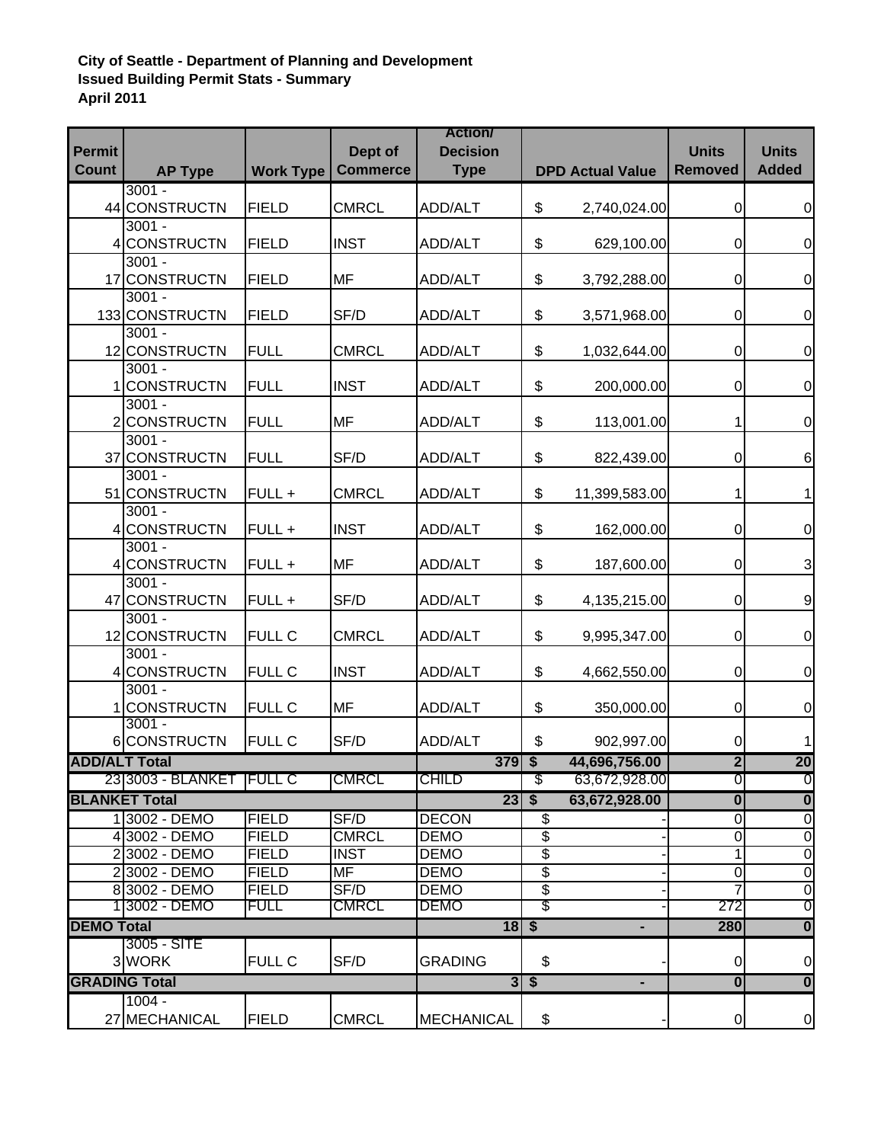## **City of Seattle - Department of Planning and Development Issued Building Permit Stats - Summary April 2011**

| <b>Permit</b>                    |                              |                             | Dept of              | <b>Action/</b><br><b>Decision</b> |           |                         | <b>Units</b>            | <b>Units</b>                     |
|----------------------------------|------------------------------|-----------------------------|----------------------|-----------------------------------|-----------|-------------------------|-------------------------|----------------------------------|
| Count                            | <b>AP Type</b>               | <b>Work Type</b>            | <b>Commerce</b>      | <b>Type</b>                       |           | <b>DPD Actual Value</b> | <b>Removed</b>          | <b>Added</b>                     |
|                                  | $3001 -$                     |                             |                      |                                   |           |                         |                         |                                  |
|                                  | 44 CONSTRUCTN                | <b>FIELD</b>                | <b>CMRCL</b>         | ADD/ALT                           | \$        | 2,740,024.00            | 0                       | 0                                |
|                                  | $3001 -$                     |                             |                      |                                   |           |                         |                         |                                  |
|                                  | 4 CONSTRUCTN<br>$3001 -$     | <b>FIELD</b>                | <b>INST</b>          | ADD/ALT                           | \$        | 629,100.00              | $\pmb{0}$               | $\mathbf 0$                      |
|                                  | 17 CONSTRUCTN                | <b>FIELD</b>                | MF                   | ADD/ALT                           | \$        | 3,792,288.00            | $\pmb{0}$               | $\mathbf 0$                      |
|                                  | $3001 -$                     |                             |                      |                                   |           |                         |                         |                                  |
|                                  | 133 CONSTRUCTN               | <b>FIELD</b>                | SF/D                 | ADD/ALT                           | \$        | 3,571,968.00            | $\pmb{0}$               | $\mathbf 0$                      |
|                                  | $3001 -$                     |                             |                      |                                   |           |                         |                         |                                  |
|                                  | 12 CONSTRUCTN                | <b>FULL</b>                 | <b>CMRCL</b>         | <b>ADD/ALT</b>                    | \$        | 1,032,644.00            | $\pmb{0}$               | $\overline{0}$                   |
|                                  | $3001 -$                     |                             |                      |                                   |           |                         |                         |                                  |
|                                  | 1CONSTRUCTN                  | <b>FULL</b>                 | <b>INST</b>          | ADD/ALT                           | \$        | 200,000.00              | $\pmb{0}$               | $\overline{0}$                   |
|                                  | $3001 -$                     |                             |                      |                                   |           |                         |                         |                                  |
|                                  | 2 CONSTRUCTN                 | <b>FULL</b>                 | MF                   | ADD/ALT                           | \$        | 113,001.00              | 1                       | $\mathbf 0$                      |
|                                  | $3001 -$<br>37 CONSTRUCTN    | <b>FULL</b>                 | SF/D                 |                                   |           |                         | $\pmb{0}$               |                                  |
|                                  | $3001 -$                     |                             |                      | ADD/ALT                           | \$        | 822,439.00              |                         | 6                                |
|                                  | 51 CONSTRUCTN                | FULL +                      | <b>CMRCL</b>         | ADD/ALT                           | \$        | 11,399,583.00           | 1                       | 1                                |
|                                  | $3001 -$                     |                             |                      |                                   |           |                         |                         |                                  |
|                                  | 4 CONSTRUCTN                 | FULL +                      | <b>INST</b>          | ADD/ALT                           | \$        | 162,000.00              | $\pmb{0}$               | $\overline{0}$                   |
|                                  | $3001 -$                     |                             |                      |                                   |           |                         |                         |                                  |
|                                  | 4 CONSTRUCTN                 | FULL +                      | MF                   | ADD/ALT                           | \$        | 187,600.00              | $\pmb{0}$               | 3                                |
|                                  | $3001 -$                     |                             |                      |                                   |           |                         |                         |                                  |
|                                  | 47 CONSTRUCTN                | FULL +                      | SF/D                 | ADD/ALT                           | \$        | 4,135,215.00            | $\pmb{0}$               | 9                                |
|                                  | $3001 -$                     |                             |                      |                                   |           |                         |                         |                                  |
|                                  | 12 CONSTRUCTN<br>$3001 -$    | <b>FULL C</b>               | <b>CMRCL</b>         | ADD/ALT                           | \$        | 9,995,347.00            | $\mathbf 0$             | $\mathbf 0$                      |
|                                  | 4 CONSTRUCTN                 | <b>FULL C</b>               | <b>INST</b>          | ADD/ALT                           | \$        | 4,662,550.00            | $\pmb{0}$               | $\mathbf 0$                      |
|                                  | $3001 -$                     |                             |                      |                                   |           |                         |                         |                                  |
|                                  | 1CONSTRUCTN                  | <b>FULL C</b>               | MF                   | ADD/ALT                           | \$        | 350,000.00              | $\pmb{0}$               | $\pmb{0}$                        |
|                                  | $3001 -$                     |                             |                      |                                   |           |                         |                         |                                  |
|                                  | 6 CONSTRUCTN                 | <b>FULL C</b>               | SF/D                 | ADD/ALT                           | \$        | 902,997.00              | $\pmb{0}$               | 1                                |
| <b>ADD/ALT Total</b>             |                              |                             |                      | $379$ \$                          |           | 44,696,756.00           | $\overline{2}$          | $\overline{20}$                  |
|                                  | 23 3003 - BLANKET  FULL C    |                             | <b>CMRCL</b>         | <b>CHILD</b>                      | \$        | 63,672,928.00           | 0                       | O                                |
|                                  | <b>BLANKET Total</b>         |                             |                      | $23 \, \sqrt{5}$                  |           | 63,672,928.00           | $\overline{\mathbf{0}}$ | $\overline{\mathbf{0}}$          |
|                                  | 13002 - DEMO                 | <b>FIELD</b>                | SF/D                 | <b>DECON</b>                      | \$        |                         | ō                       | $\overline{0}$                   |
|                                  | 4 3002 - DEMO                | <b>FIELD</b>                | <b>CMRCL</b>         | <b>DEMO</b>                       | \$        |                         | $\mathbf 0$             | $\overline{0}$                   |
|                                  | 23002 - DEMO                 | <b>FIELD</b>                | <b>INST</b>          | <b>DEMO</b>                       | \$        |                         | 1                       | $\overline{0}$                   |
|                                  | 23002 - DEMO                 | <b>FIELD</b>                | MF                   | <b>DEMO</b>                       | \$        |                         | $\boldsymbol{0}$        | $\overline{0}$                   |
|                                  | 83002 - DEMO<br>13002 - DEMO | <b>FIELD</b><br><b>FULL</b> | SF/D<br><b>CMRCL</b> | <b>DEMO</b><br><b>DEMO</b>        | \$<br>\$  |                         | 272                     | $\overline{0}$<br>$\overline{0}$ |
|                                  |                              |                             |                      |                                   |           |                         | 280                     | $\overline{\mathbf{0}}$          |
| <b>DEMO Total</b><br>3005 - SITE |                              |                             | $18$ \$              |                                   | ٠         |                         |                         |                                  |
|                                  | 3 WORK                       | FULL C                      | SF/D                 | <b>GRADING</b>                    | \$        |                         | $\mathbf 0$             | $\overline{0}$                   |
| <b>GRADING Total</b>             |                              |                             |                      |                                   | $3 \mid $ |                         | $\overline{\mathbf{0}}$ | $\overline{\mathbf{0}}$          |
|                                  | $1004 -$                     |                             |                      |                                   |           |                         |                         |                                  |
|                                  | 27 MECHANICAL                | <b>FIELD</b>                | <b>CMRCL</b>         | <b>MECHANICAL</b>                 | \$        |                         | $\Omega$                | 0                                |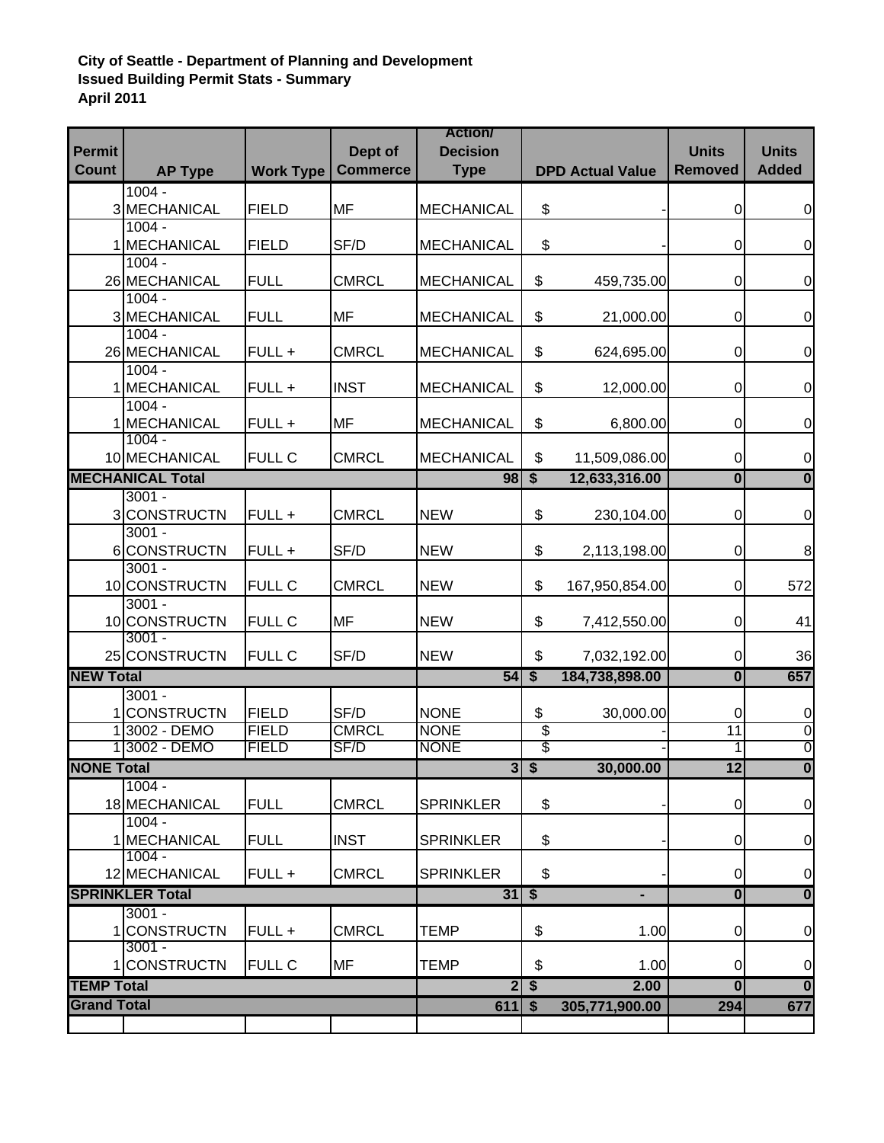## **City of Seattle - Department of Planning and Development Issued Building Permit Stats - Summary April 2011**

| <b>Permit</b>          |                           |                  | Dept of                            | <b>Action/</b><br><b>Decision</b> |                 |                         | <b>Units</b>            | <b>Units</b>            |
|------------------------|---------------------------|------------------|------------------------------------|-----------------------------------|-----------------|-------------------------|-------------------------|-------------------------|
| <b>Count</b>           | <b>AP Type</b>            | <b>Work Type</b> | <b>Commerce</b>                    | <b>Type</b>                       |                 | <b>DPD Actual Value</b> | <b>Removed</b>          | <b>Added</b>            |
|                        | $1004 -$                  |                  |                                    |                                   |                 |                         |                         |                         |
|                        | 3 MECHANICAL              | <b>FIELD</b>     | MF                                 | <b>MECHANICAL</b>                 | \$              |                         | 0                       | $\overline{0}$          |
|                        | $1004 -$                  |                  |                                    |                                   |                 |                         |                         |                         |
|                        | 1 MECHANICAL<br>$1004 -$  | <b>FIELD</b>     | SF/D                               | <b>MECHANICAL</b>                 | \$              |                         | 0                       | $\pmb{0}$               |
|                        | 26 MECHANICAL             | <b>FULL</b>      | <b>CMRCL</b>                       | <b>MECHANICAL</b>                 | \$              | 459,735.00              | 0                       | 0                       |
|                        | $1004 -$                  |                  |                                    |                                   |                 |                         |                         |                         |
|                        | 3 MECHANICAL              | <b>FULL</b>      | <b>MF</b>                          | <b>MECHANICAL</b>                 | \$              | 21,000.00               | 0                       | $\pmb{0}$               |
|                        | $1004 -$                  |                  |                                    |                                   |                 |                         |                         |                         |
|                        | 26 MECHANICAL             | FULL +           | <b>CMRCL</b>                       | <b>MECHANICAL</b>                 | \$              | 624,695.00              | 0                       | $\boldsymbol{0}$        |
|                        | $1004 -$                  |                  |                                    |                                   |                 |                         |                         |                         |
|                        | 1 MECHANICAL              | FULL +           | <b>INST</b>                        | <b>MECHANICAL</b>                 | \$              | 12,000.00               | 0                       | $\pmb{0}$               |
|                        | $1004 -$                  |                  |                                    |                                   |                 |                         |                         |                         |
|                        | 1 MECHANICAL<br>$1004 -$  | FULL +           | MF                                 | <b>MECHANICAL</b>                 | \$              | 6,800.00                | 0                       | 0                       |
|                        | 10 MECHANICAL             | <b>FULL C</b>    | <b>CMRCL</b>                       | <b>MECHANICAL</b>                 | \$              | 11,509,086.00           | 0                       | $\mathbf 0$             |
|                        | <b>MECHANICAL Total</b>   |                  |                                    | $98 \, \sqrt{5}$                  |                 | 12,633,316.00           | $\overline{\mathbf{0}}$ | $\overline{0}$          |
|                        | $3001 -$                  |                  |                                    |                                   |                 |                         |                         |                         |
|                        | 3 CONSTRUCTN              | FULL+            | <b>CMRCL</b>                       | <b>NEW</b>                        | \$              | 230,104.00              | 0                       | $\mathbf 0$             |
|                        | $3001 -$                  |                  |                                    |                                   |                 |                         |                         |                         |
|                        | 6 CONSTRUCTN              | $FULL +$         | SF/D                               | <b>NEW</b>                        | \$              | 2,113,198.00            | 0                       | 8                       |
|                        | $3001 -$                  |                  |                                    |                                   |                 |                         |                         |                         |
|                        | 10 CONSTRUCTN             | <b>FULL C</b>    | <b>CMRCL</b>                       | <b>NEW</b>                        | \$              | 167,950,854.00          | 0                       | 572                     |
|                        | $3001 -$                  |                  |                                    |                                   |                 |                         |                         |                         |
|                        | 10 CONSTRUCTN<br>$3001 -$ | <b>FULL C</b>    | MF                                 | <b>NEW</b>                        | \$              | 7,412,550.00            | 0                       | 41                      |
|                        | 25 CONSTRUCTN             | <b>FULL C</b>    | SF/D                               | <b>NEW</b>                        | \$              | 7,032,192.00            | 0                       | 36                      |
| <b>NEW Total</b>       |                           |                  |                                    | 54S                               |                 | 184,738,898.00          | $\bf{0}$                | 657                     |
|                        | $3001 -$                  |                  |                                    |                                   |                 |                         |                         |                         |
|                        | 1 CONSTRUCTN              | <b>FIELD</b>     | SF/D                               | <b>NONE</b>                       | \$              | 30,000.00               | 0                       | $\mathbf 0$             |
|                        | 13002 - DEMO              | <b>FIELD</b>     | <b>CMRCL</b>                       | <b>NONE</b>                       | \$              |                         | $\overline{11}$         | $\overline{0}$          |
|                        | 13002 - DEMO              | <b>FIELD</b>     | SF/D                               | <b>NONE</b>                       | \$              |                         |                         | $\overline{0}$          |
| <b>NONE Total</b>      |                           |                  |                                    |                                   | 35              | 30,000.00               | 12                      | $\overline{\mathbf{0}}$ |
|                        | $1004 -$                  |                  |                                    |                                   |                 |                         |                         |                         |
|                        | 18 MECHANICAL             | <b>FULL</b>      | <b>CMRCL</b>                       | <b>SPRINKLER</b>                  | \$              |                         | 0                       | $\mathbf 0$             |
|                        | $1004 -$                  |                  |                                    |                                   |                 |                         |                         |                         |
|                        | 1 MECHANICAL<br>$1004 -$  | <b>FULL</b>      | <b>INST</b>                        | <b>SPRINKLER</b>                  | \$              |                         | 0                       | $\boldsymbol{0}$        |
|                        | 12 MECHANICAL             | FULL+            | <b>CMRCL</b>                       | <b>SPRINKLER</b>                  | \$              |                         | 0                       | $\boldsymbol{0}$        |
| <b>SPRINKLER Total</b> |                           |                  | $31 \overline{\smash{\big\} \, 5}$ |                                   |                 | $\overline{\mathbf{0}}$ | $\overline{\mathbf{0}}$ |                         |
|                        | $3001 -$                  |                  |                                    |                                   |                 |                         |                         |                         |
|                        | <b>CONSTRUCTN</b>         | FULL+            | <b>CMRCL</b>                       | <b>TEMP</b>                       | \$              | 1.00                    | 0                       | $\boldsymbol{0}$        |
|                        | $3001 -$                  |                  |                                    |                                   |                 |                         |                         |                         |
|                        | 1 CONSTRUCTN              | <b>FULL C</b>    | MF                                 | TEMP                              | \$              | 1.00                    | 0                       | $\pmb{0}$               |
| <b>TEMP Total</b>      |                           |                  |                                    | $\overline{2}$                    | $\overline{\$}$ | 2.00                    | $\mathbf{0}$            | $\overline{0}$          |
| <b>Grand Total</b>     |                           |                  |                                    | $611$ \$                          |                 | 305,771,900.00          | 294                     | 677                     |
|                        |                           |                  |                                    |                                   |                 |                         |                         |                         |